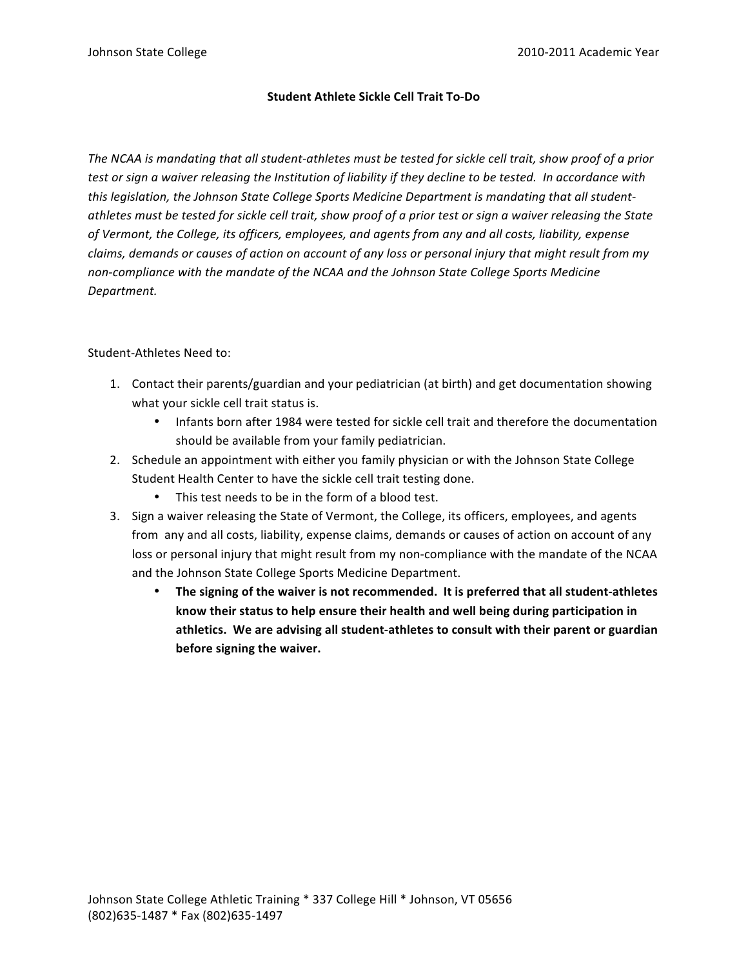# **Student
Athlete
Sickle
Cell
Trait
To‐Do**

The NCAA is mandating that all student-athletes must be tested for sickle cell trait, show proof of a prior test or sign a waiver releasing the Institution of liability if they decline to be tested. In accordance with *this
legislation,
the
Johnson
State
College
Sports
Medicine
Department
is
mandating
that
all
student‐* athletes must be tested for sickle cell trait, show proof of a prior test or sign a waiver releasing the State of Vermont, the College, its officers, employees, and agents from any and all costs, liability, expense claims, demands or causes of action on account of any loss or personal injury that might result from my non-compliance with the mandate of the NCAA and the Johnson State College Sports Medicine *Department.*

# Student‐Athletes
Need
to:

- 1. Contact
their
parents/guardian
and
your
pediatrician
(at
birth)
and
get
documentation
showing what your sickle cell trait status is.
	- Infants born after 1984 were tested for sickle cell trait and therefore the documentation should
	be
	available
	from
	your
	family
	pediatrician.
- 2. Schedule an appointment with either you family physician or with the Johnson State College Student
Health
Center
to
have
the
sickle
cell
trait
testing
done.
	- This test needs to be in the form of a blood test.
- 3. Sign a waiver releasing the State of Vermont, the College, its officers, employees, and agents from any and all costs, liability, expense claims, demands or causes of action on account of any loss or personal injury that might result from my non-compliance with the mandate of the NCAA and
the
Johnson
State
College
Sports
Medicine
Department.
	- The signing of the waiver is not recommended. It is preferred that all student-athletes know their status to help ensure their health and well being during participation in athletics. We are advising all student-athletes to consult with their parent or guardian **before
	signing
	the
	waiver.**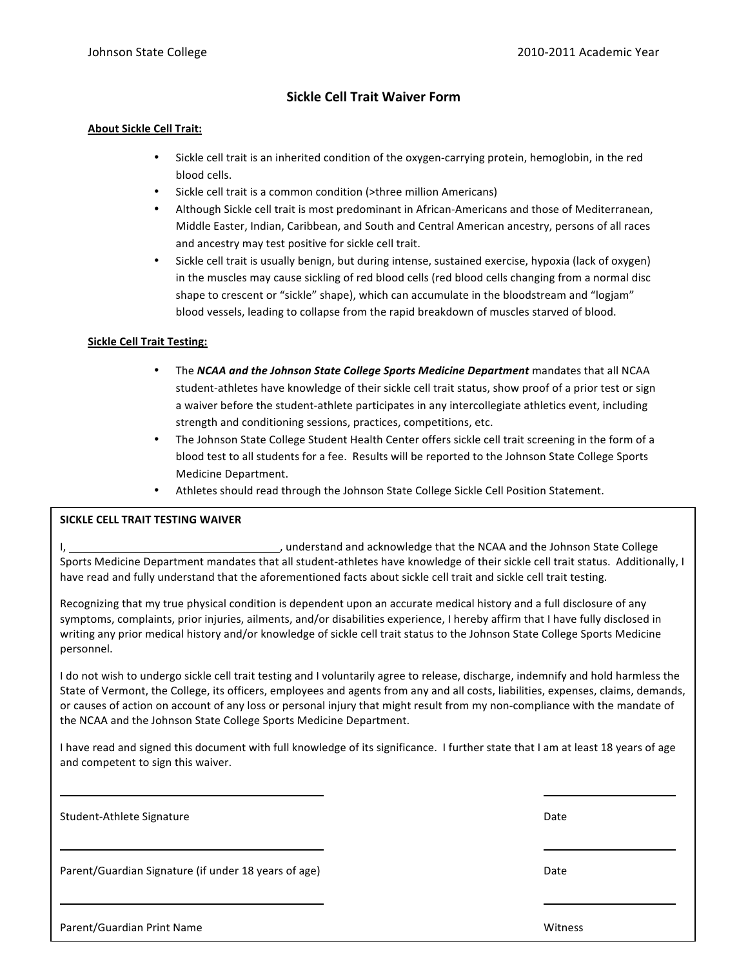# **Sickle
Cell
Trait
Waiver
Form**

#### **About
Sickle
Cell
Trait:**

- Sickle cell trait is an inherited condition of the oxygen-carrying protein, hemoglobin, in the red blood
cells.
- Sickle cell trait is a common condition (>three million Americans)
- Although Sickle cell trait is most predominant in African-Americans and those of Mediterranean, Middle Easter, Indian, Caribbean, and South and Central American ancestry, persons of all races and
ancestry
may
test
positive
for
sickle
cell
trait.
- Sickle cell trait is usually benign, but during intense, sustained exercise, hypoxia (lack of oxygen) in the muscles may cause sickling of red blood cells (red blood cells changing from a normal disc shape to crescent or "sickle" shape), which can accumulate in the bloodstream and "logjam" blood vessels, leading to collapse from the rapid breakdown of muscles starved of blood.

### **Sickle
Cell
Trait
Testing:**

- The *NCAA and the Johnson State College Sports Medicine Department* mandates that all NCAA student-athletes have knowledge of their sickle cell trait status, show proof of a prior test or sign a waiver before the student-athlete participates in any intercollegiate athletics event, including strength
and
conditioning
sessions,
practices,
competitions,
etc.
- The Johnson State College Student Health Center offers sickle cell trait screening in the form of a blood
test
to
all
students
for
a
fee.

Results
will
be
reported
to
the
Johnson
State
College
Sports Medicine
Department.
- Athletes should read through the Johnson State College Sickle Cell Position Statement.

#### **SICKLE
CELL
TRAIT
TESTING
WAIVER**

I, 1. And is a state of the stand and acknowledge that the NCAA and the Johnson State College Sports Medicine Department mandates that all student-athletes have knowledge of their sickle cell trait status. Additionally, I have read and fully understand that the aforementioned facts about sickle cell trait and sickle cell trait testing.

Recognizing that my true physical condition is dependent upon an accurate medical history and a full disclosure of any symptoms, complaints, prior injuries, ailments, and/or disabilities experience, I hereby affirm that I have fully disclosed in writing any prior medical history and/or knowledge of sickle cell trait status to the Johnson State College Sports Medicine personnel.

I do not wish to undergo sickle cell trait testing and I voluntarily agree to release, discharge, indemnify and hold harmless the State of Vermont, the College, its officers, employees and agents from any and all costs, liabilities, expenses, claims, demands, or causes of action on account of any loss or personal injury that might result from my non-compliance with the mandate of the
NCAA
and
the
Johnson
State
College
Sports
Medicine
Department.

I have read and signed this document with full knowledge of its significance. I further state that I am at least 18 years of age and
competent
to
sign
this
waiver.

Johnson
State
College
Athletic
Training
\*
337
College
Hill
\*
Johnson,
VT
05656

Student‐Athlete
Signature Date

Parent/Guardian Signature (if under 18 years of age) The Contract of the Contract of Date

(802)635‐1487
\*
Fax
(802)635‐1497 Parent/Guardian
Print
Name Witness